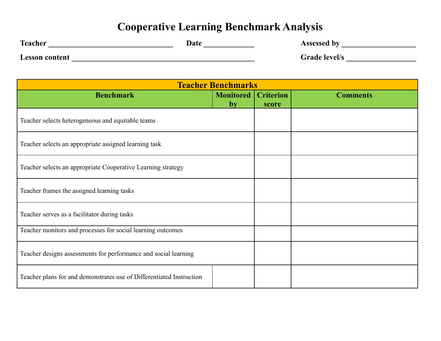## **Cooperative Learning Benchmark Analysis**

| <b>Teacher</b>        | Date | Assessed by          |
|-----------------------|------|----------------------|
| <b>Lesson content</b> |      | <b>Grade level/s</b> |

| <b>Teacher Benchmarks</b>                                            |                   |                           |                 |  |
|----------------------------------------------------------------------|-------------------|---------------------------|-----------------|--|
| <b>Benchmark</b>                                                     | Monitored  <br>by | <b>Criterion</b><br>score | <b>Comments</b> |  |
| Teacher selects heterogeneous and equitable teams                    |                   |                           |                 |  |
| Teacher selects an appropriate assigned learning task                |                   |                           |                 |  |
| Teacher selects an appropriate Cooperative Learning strategy         |                   |                           |                 |  |
| Teacher frames the assigned learning tasks                           |                   |                           |                 |  |
| Teacher serves as a facilitator during tasks                         |                   |                           |                 |  |
| Teacher monitors and processes for social learning outcomes          |                   |                           |                 |  |
| Teacher designs assessments for performance and social learning      |                   |                           |                 |  |
| Teacher plans for and demonstrates use of Differentiated Instruction |                   |                           |                 |  |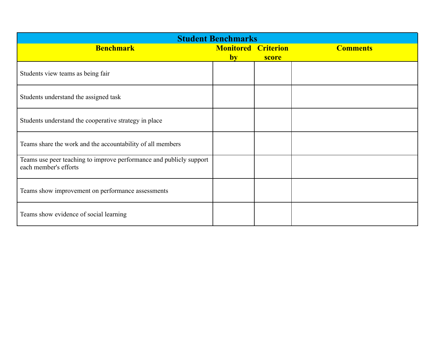| <b>Student Benchmarks</b>                                                                    |                        |                           |                 |  |
|----------------------------------------------------------------------------------------------|------------------------|---------------------------|-----------------|--|
| <b>Benchmark</b>                                                                             | <b>Monitored</b><br>by | <b>Criterion</b><br>score | <b>Comments</b> |  |
| Students view teams as being fair                                                            |                        |                           |                 |  |
| Students understand the assigned task                                                        |                        |                           |                 |  |
| Students understand the cooperative strategy in place                                        |                        |                           |                 |  |
| Teams share the work and the accountability of all members                                   |                        |                           |                 |  |
| Teams use peer teaching to improve performance and publicly support<br>each member's efforts |                        |                           |                 |  |
| Teams show improvement on performance assessments                                            |                        |                           |                 |  |
| Teams show evidence of social learning                                                       |                        |                           |                 |  |